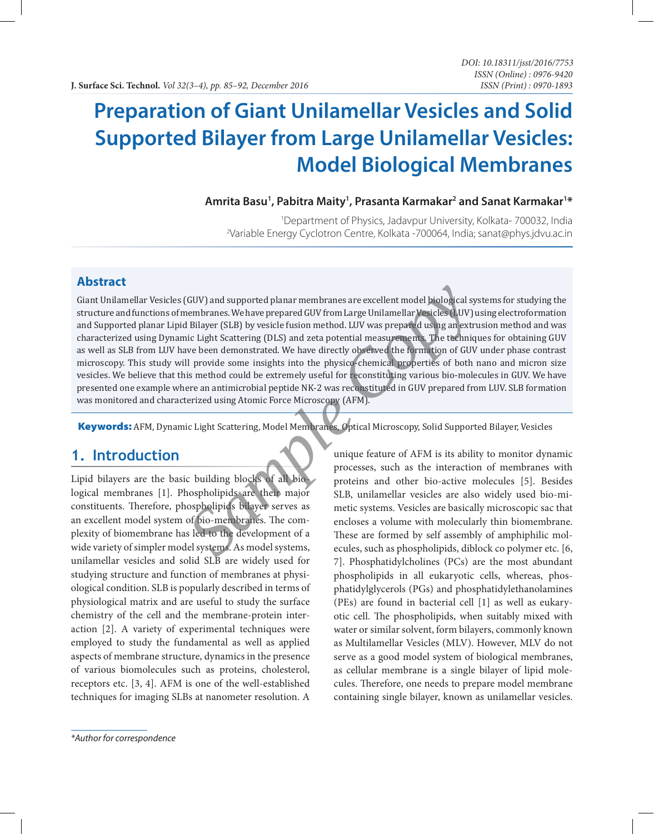# **Preparation of Giant Unilamellar Vesicles and Solid Supported Bilayer from Large Unilamellar Vesicles: Model Biological Membranes**

#### Amrita Basu<sup>1</sup>, Pabitra Maity<sup>1</sup>, Prasanta Karmakar<sup>2</sup> and Sanat Karmakar<sup>1\*</sup>

<sup>1</sup> Department of Physics, Jadavpur University, Kolkata- 700032, India<br>Pariable Energy Cyclotron Centre, Kolkata - 700064, India: sanat@phys.idvu.ac.in Variable Energy Cyclotron Centre, Kolkata -700064, India; sanat@phys.jdvu.ac.in

#### **Abstract**

Giant Unilamellar Vesicles (GUV) and supported planar membranes are excellent model biological systems for studying the structure and functions of membranes. We have prepared GUV from Large Unilamellar Vesicles (LUV) using electroformation and Supported planar Lipid Bilayer (SLB) by vesicle fusion method. LUV was prepared using an extrusion method and was characterized using Dynamic Light Scattering (DLS) and zeta potential measurements. The techniques for obtaining GUV as well as SLB from LUV have been demonstrated. We have directly observed the formation of GUV under phase contrast microscopy. This study will provide some insights into the physico-chemical properties of both nano and micron size vesicles. We believe that this method could be extremely useful for reconstituting various bio-molecules in GUV. We have presented one example where an antimicrobial peptide NK-2 was reconstituted in GUV prepared from LUV. SLB formation was monitored and characterized using Atomic Force Microscopy (AFM). GUV) and supported planar membranes are excellent model biological sy<br>elembranes. We have prepared GUV from Large Unilamellar Vesicles (LUV)<br>I Bilayer (SLB) by vesicle fusion method. LUV was prepared using an extric<br>includ

Keywords: AFM, Dynamic Light Scattering, Model Membranes, Optical Microscopy, Solid Supported Bilayer, Vesicles

## **1. Introduction**

Lipid bilayers are the basic building blocks of all biological membranes [1]. Phospholipids are their major constituents. Therefore, phospholipids bilayer serves as an excellent model system of bio-membranes. The complexity of biomembrane has led to the development of a wide variety of simpler model systems. As model systems, unilamellar vesicles and solid SLB are widely used for studying structure and function of membranes at physiological condition. SLB is popularly described in terms of physiological matrix and are useful to study the surface chemistry of the cell and the membrane-protein interaction [2]. A variety of experimental techniques were employed to study the fundamental as well as applied aspects of membrane structure, dynamics in the presence of various biomolecules such as proteins, cholesterol, receptors etc. [3, 4]. AFM is one of the well-established techniques for imaging SLBs at nanometer resolution. A

*\*Author for correspondence*

unique feature of AFM is its ability to monitor dynamic processes, such as the interaction of membranes with proteins and other bio-active molecules [5]. Besides SLB, unilamellar vesicles are also widely used bio-mimetic systems. Vesicles are basically microscopic sac that encloses a volume with molecularly thin biomembrane. These are formed by self assembly of amphiphilic molecules, such as phospholipids, diblock co polymer etc. [6, 7]. Phosphatidylcholines (PCs) are the most abundant phospholipids in all eukaryotic cells, whereas, phosphatidylglycerols (PGs) and phosphatidylethanolamines (PEs) are found in bacterial cell [1] as well as eukaryotic cell. The phospholipids, when suitably mixed with water or similar solvent, form bilayers, commonly known as Multilamellar Vesicles (MLV). However, MLV do not serve as a good model system of biological membranes, as cellular membrane is a single bilayer of lipid molecules. Therefore, one needs to prepare model membrane containing single bilayer, known as unilamellar vesicles.